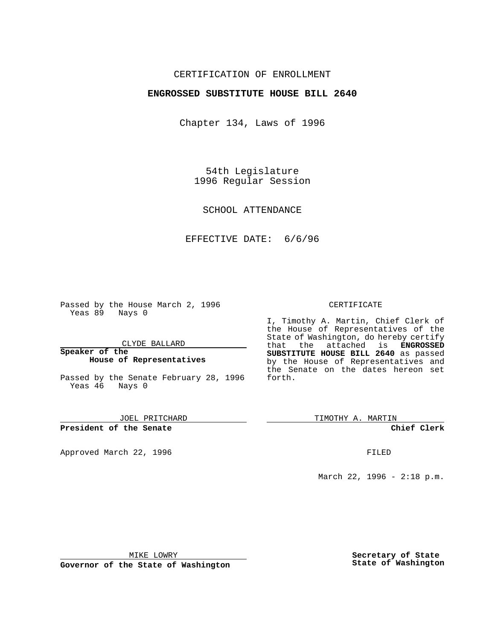## CERTIFICATION OF ENROLLMENT

## **ENGROSSED SUBSTITUTE HOUSE BILL 2640**

Chapter 134, Laws of 1996

54th Legislature 1996 Regular Session

SCHOOL ATTENDANCE

EFFECTIVE DATE: 6/6/96

Passed by the House March 2, 1996 Yeas 89 Nays 0

CLYDE BALLARD

**Speaker of the House of Representatives**

Passed by the Senate February 28, 1996 Yeas 46 Nays 0

JOEL PRITCHARD

**President of the Senate**

Approved March 22, 1996 FILED

### CERTIFICATE

I, Timothy A. Martin, Chief Clerk of the House of Representatives of the State of Washington, do hereby certify that the attached is **ENGROSSED SUBSTITUTE HOUSE BILL 2640** as passed by the House of Representatives and the Senate on the dates hereon set forth.

TIMOTHY A. MARTIN

**Chief Clerk**

March 22, 1996 - 2:18 p.m.

MIKE LOWRY

**Governor of the State of Washington**

**Secretary of State State of Washington**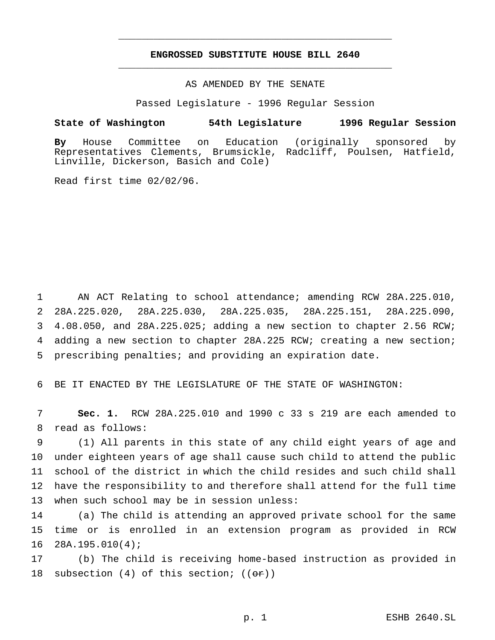# **ENGROSSED SUBSTITUTE HOUSE BILL 2640** \_\_\_\_\_\_\_\_\_\_\_\_\_\_\_\_\_\_\_\_\_\_\_\_\_\_\_\_\_\_\_\_\_\_\_\_\_\_\_\_\_\_\_\_\_\_\_

\_\_\_\_\_\_\_\_\_\_\_\_\_\_\_\_\_\_\_\_\_\_\_\_\_\_\_\_\_\_\_\_\_\_\_\_\_\_\_\_\_\_\_\_\_\_\_

### AS AMENDED BY THE SENATE

Passed Legislature - 1996 Regular Session

#### **State of Washington 54th Legislature 1996 Regular Session**

**By** House Committee on Education (originally sponsored by Representatives Clements, Brumsickle, Radcliff, Poulsen, Hatfield, Linville, Dickerson, Basich and Cole)

Read first time 02/02/96.

 AN ACT Relating to school attendance; amending RCW 28A.225.010, 28A.225.020, 28A.225.030, 28A.225.035, 28A.225.151, 28A.225.090, 4.08.050, and 28A.225.025; adding a new section to chapter 2.56 RCW; adding a new section to chapter 28A.225 RCW; creating a new section; prescribing penalties; and providing an expiration date.

6 BE IT ENACTED BY THE LEGISLATURE OF THE STATE OF WASHINGTON:

7 **Sec. 1.** RCW 28A.225.010 and 1990 c 33 s 219 are each amended to 8 read as follows:

 (1) All parents in this state of any child eight years of age and under eighteen years of age shall cause such child to attend the public school of the district in which the child resides and such child shall have the responsibility to and therefore shall attend for the full time when such school may be in session unless:

14 (a) The child is attending an approved private school for the same 15 time or is enrolled in an extension program as provided in RCW 16 28A.195.010(4);

17 (b) The child is receiving home-based instruction as provided in 18 subsection (4) of this section;  $((\sigma \cdot r))$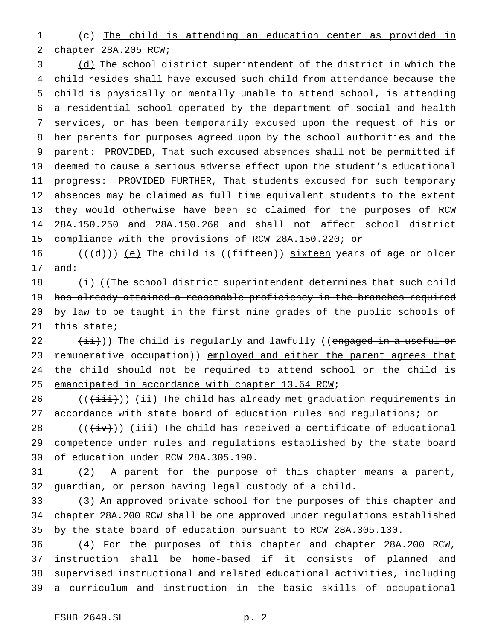(c) The child is attending an education center as provided in chapter 28A.205 RCW;

 (d) The school district superintendent of the district in which the child resides shall have excused such child from attendance because the child is physically or mentally unable to attend school, is attending a residential school operated by the department of social and health services, or has been temporarily excused upon the request of his or her parents for purposes agreed upon by the school authorities and the parent: PROVIDED, That such excused absences shall not be permitted if deemed to cause a serious adverse effect upon the student's educational progress: PROVIDED FURTHER, That students excused for such temporary absences may be claimed as full time equivalent students to the extent they would otherwise have been so claimed for the purposes of RCW 28A.150.250 and 28A.150.260 and shall not affect school district 15 compliance with the provisions of RCW 28A.150.220; or

 $((\{d\}))(e)$  The child is  $((f\text{ifiteen}))$  sixteen years of age or older and:

18 (i) ((The school district superintendent determines that such child 19 has already attained a reasonable proficiency in the branches required 20 by law to be taught in the first nine grades of the public schools of this state;

 $(\pm i)$ ) The child is regularly and lawfully ((engaged in a useful or 23 remunerative occupation)) employed and either the parent agrees that the child should not be required to attend school or the child is emancipated in accordance with chapter 13.64 RCW;

26 ( $(\{\text{iii}\})$ ) (ii) The child has already met graduation requirements in accordance with state board of education rules and regulations; or

 $((\overleftrightarrow{iv}))$  (iii) The child has received a certificate of educational competence under rules and regulations established by the state board of education under RCW 28A.305.190.

 (2) A parent for the purpose of this chapter means a parent, guardian, or person having legal custody of a child.

 (3) An approved private school for the purposes of this chapter and chapter 28A.200 RCW shall be one approved under regulations established by the state board of education pursuant to RCW 28A.305.130.

 (4) For the purposes of this chapter and chapter 28A.200 RCW, instruction shall be home-based if it consists of planned and supervised instructional and related educational activities, including a curriculum and instruction in the basic skills of occupational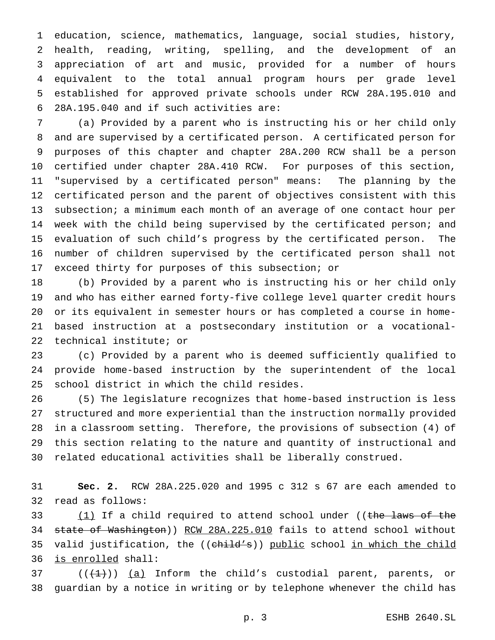education, science, mathematics, language, social studies, history, health, reading, writing, spelling, and the development of an appreciation of art and music, provided for a number of hours equivalent to the total annual program hours per grade level established for approved private schools under RCW 28A.195.010 and 28A.195.040 and if such activities are:

 (a) Provided by a parent who is instructing his or her child only and are supervised by a certificated person. A certificated person for purposes of this chapter and chapter 28A.200 RCW shall be a person certified under chapter 28A.410 RCW. For purposes of this section, "supervised by a certificated person" means: The planning by the certificated person and the parent of objectives consistent with this 13 subsection; a minimum each month of an average of one contact hour per week with the child being supervised by the certificated person; and evaluation of such child's progress by the certificated person. The number of children supervised by the certificated person shall not exceed thirty for purposes of this subsection; or

 (b) Provided by a parent who is instructing his or her child only and who has either earned forty-five college level quarter credit hours or its equivalent in semester hours or has completed a course in home- based instruction at a postsecondary institution or a vocational-technical institute; or

 (c) Provided by a parent who is deemed sufficiently qualified to provide home-based instruction by the superintendent of the local school district in which the child resides.

 (5) The legislature recognizes that home-based instruction is less structured and more experiential than the instruction normally provided in a classroom setting. Therefore, the provisions of subsection (4) of this section relating to the nature and quantity of instructional and related educational activities shall be liberally construed.

 **Sec. 2.** RCW 28A.225.020 and 1995 c 312 s 67 are each amended to read as follows:

33 (1) If a child required to attend school under ((the laws of the state of Washington)) RCW 28A.225.010 fails to attend school without 35 valid justification, the ((child's)) public school in which the child is enrolled shall:

37  $((+1))$   $(a)$  Inform the child's custodial parent, parents, or guardian by a notice in writing or by telephone whenever the child has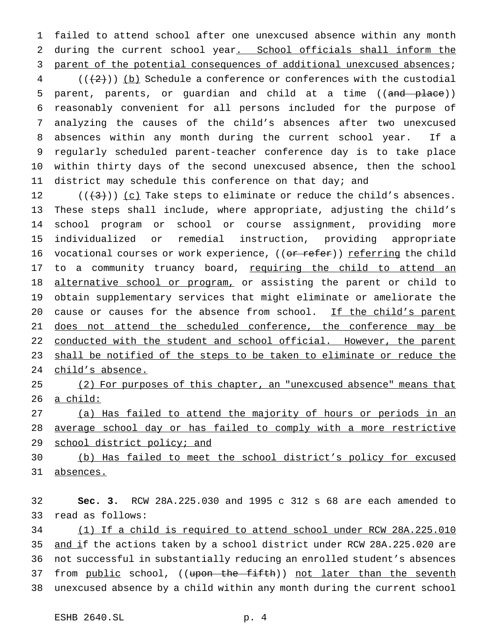failed to attend school after one unexcused absence within any month 2 during the current school year. School officials shall inform the 3 parent of the potential consequences of additional unexcused absences;

 (( $(2)$ )) (b) Schedule a conference or conferences with the custodial 5 parent, parents, or quardian and child at a time ((and place)) reasonably convenient for all persons included for the purpose of analyzing the causes of the child's absences after two unexcused absences within any month during the current school year. If a regularly scheduled parent-teacher conference day is to take place within thirty days of the second unexcused absence, then the school district may schedule this conference on that day; and

12  $((+3))$   $(c)$  Take steps to eliminate or reduce the child's absences. These steps shall include, where appropriate, adjusting the child's school program or school or course assignment, providing more individualized or remedial instruction, providing appropriate 16 vocational courses or work experience, ((or refer)) referring the child 17 to a community truancy board, requiring the child to attend an 18 alternative school or program, or assisting the parent or child to obtain supplementary services that might eliminate or ameliorate the 20 cause or causes for the absence from school. If the child's parent 21 does not attend the scheduled conference, the conference may be 22 conducted with the student and school official. However, the parent shall be notified of the steps to be taken to eliminate or reduce the child's absence.

 (2) For purposes of this chapter, an "unexcused absence" means that a child:

 (a) Has failed to attend the majority of hours or periods in an average school day or has failed to comply with a more restrictive 29 school district policy; and

 (b) Has failed to meet the school district's policy for excused absences.

 **Sec. 3.** RCW 28A.225.030 and 1995 c 312 s 68 are each amended to read as follows:

 (1) If a child is required to attend school under RCW 28A.225.010 35 and if the actions taken by a school district under RCW 28A.225.020 are not successful in substantially reducing an enrolled student's absences 37 from public school, ((upon the fifth)) not later than the seventh unexcused absence by a child within any month during the current school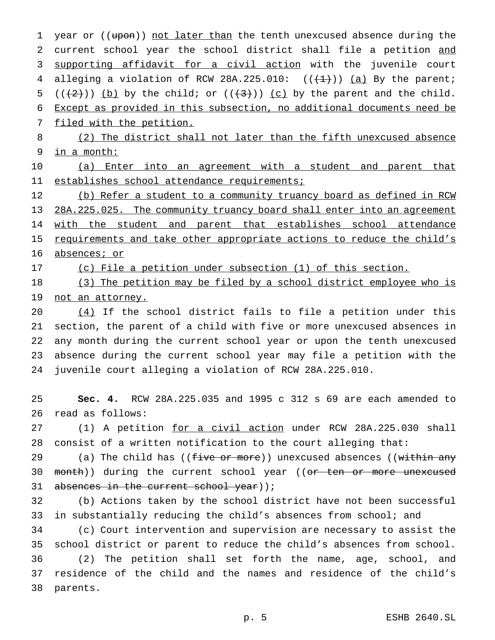1 year or ((upon)) not later than the tenth unexcused absence during the 2 current school year the school district shall file a petition and 3 supporting affidavit for a civil action with the juvenile court 4 alleging a violation of RCW 28A.225.010:  $((+1))$  (a) By the parent; 5 ( $(\frac{2}{2})$ ) (b) by the child; or ( $(\frac{3}{2})$ ) (c) by the parent and the child. 6 Except as provided in this subsection, no additional documents need be 7 filed with the petition.

8 (2) The district shall not later than the fifth unexcused absence 9 in a month:

10 (a) Enter into an agreement with a student and parent that 11 establishes school attendance requirements;

12 (b) Refer a student to a community truancy board as defined in RCW 13 28A.225.025. The community truancy board shall enter into an agreement 14 with the student and parent that establishes school attendance 15 requirements and take other appropriate actions to reduce the child's 16 absences; or

17 (c) File a petition under subsection (1) of this section.

18 (3) The petition may be filed by a school district employee who is 19 not an attorney.

 $(4)$  If the school district fails to file a petition under this section, the parent of a child with five or more unexcused absences in any month during the current school year or upon the tenth unexcused absence during the current school year may file a petition with the juvenile court alleging a violation of RCW 28A.225.010.

25 **Sec. 4.** RCW 28A.225.035 and 1995 c 312 s 69 are each amended to 26 read as follows:

27 (1) A petition for a civil action under RCW 28A.225.030 shall 28 consist of a written notification to the court alleging that:

29 (a) The child has  $($  (five or more)) unexcused absences  $($  (within any 30 month)) during the current school year ((or ten or more unexcused 31 absences in the current school year));

32 (b) Actions taken by the school district have not been successful 33 in substantially reducing the child's absences from school; and

 (c) Court intervention and supervision are necessary to assist the school district or parent to reduce the child's absences from school. (2) The petition shall set forth the name, age, school, and residence of the child and the names and residence of the child's 38 parents.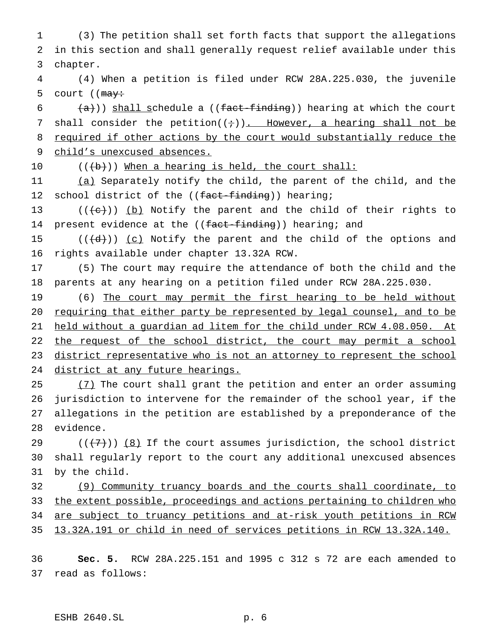1 (3) The petition shall set forth facts that support the allegations 2 in this section and shall generally request relief available under this 3 chapter.

4 (4) When a petition is filed under RCW 28A.225.030, the juvenile 5 court ( $(may \div)$ 

 $6$   $(\frac{a}{a})$ ) shall schedule a ((fact-finding)) hearing at which the court 7 shall consider the petition( $(i+1)$ ). However, a hearing shall not be 8 required if other actions by the court would substantially reduce the 9 child's unexcused absences.

10 (((b)) When a hearing is held, the court shall:

11 (a) Separately notify the child, the parent of the child, and the 12 school district of the ((fact-finding)) hearing;

13  $((e))$  (b) Notify the parent and the child of their rights to 14 present evidence at the ((fact-finding)) hearing; and

15  $((\{d\})\)$  (c) Notify the parent and the child of the options and 16 rights available under chapter 13.32A RCW.

17 (5) The court may require the attendance of both the child and the 18 parents at any hearing on a petition filed under RCW 28A.225.030.

19 (6) The court may permit the first hearing to be held without 20 requiring that either party be represented by legal counsel, and to be 21 held without a guardian ad litem for the child under RCW 4.08.050. At 22 the request of the school district, the court may permit a school 23 district representative who is not an attorney to represent the school 24 district at any future hearings.

25 (7) The court shall grant the petition and enter an order assuming jurisdiction to intervene for the remainder of the school year, if the allegations in the petition are established by a preponderance of the evidence.

29 ( $(\overline{+7})$ ) (8) If the court assumes jurisdiction, the school district 30 shall regularly report to the court any additional unexcused absences 31 by the child.

32 (9) Community truancy boards and the courts shall coordinate, to 33 the extent possible, proceedings and actions pertaining to children who 34 are subject to truancy petitions and at-risk youth petitions in RCW 35 13.32A.191 or child in need of services petitions in RCW 13.32A.140.

36 **Sec. 5.** RCW 28A.225.151 and 1995 c 312 s 72 are each amended to 37 read as follows: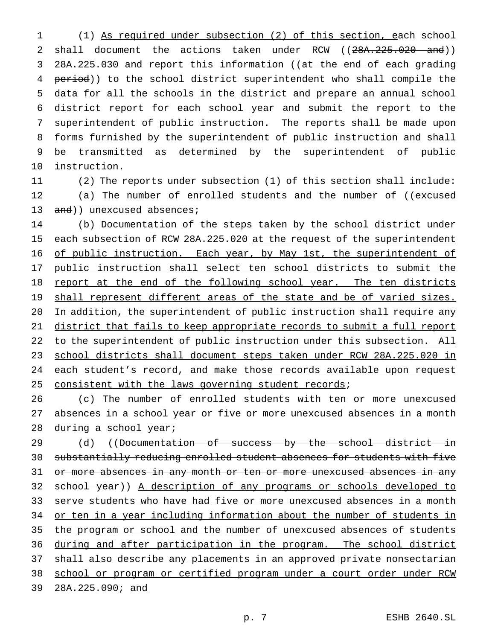(1) As required under subsection (2) of this section, each school 2 shall document the actions taken under RCW ((28A.225.020 and)) 3 28A.225.030 and report this information ((at the end of each grading 4 period)) to the school district superintendent who shall compile the data for all the schools in the district and prepare an annual school district report for each school year and submit the report to the superintendent of public instruction. The reports shall be made upon forms furnished by the superintendent of public instruction and shall be transmitted as determined by the superintendent of public instruction.

11 (2) The reports under subsection (1) of this section shall include: 12 (a) The number of enrolled students and the number of ((excused 13 and)) unexcused absences;

14 (b) Documentation of the steps taken by the school district under 15 each subsection of RCW 28A.225.020 at the request of the superintendent 16 of public instruction. Each year, by May 1st, the superintendent of 17 public instruction shall select ten school districts to submit the 18 report at the end of the following school year. The ten districts 19 shall represent different areas of the state and be of varied sizes. 20 In addition, the superintendent of public instruction shall require any 21 district that fails to keep appropriate records to submit a full report 22 to the superintendent of public instruction under this subsection. All 23 school districts shall document steps taken under RCW 28A.225.020 in 24 each student's record, and make those records available upon request 25 consistent with the laws governing student records;

26 (c) The number of enrolled students with ten or more unexcused 27 absences in a school year or five or more unexcused absences in a month 28 during a school year;

29 (d) ((Documentation of success by the school district in 30 substantially reducing enrolled student absences for students with five 31 or more absences in any month or ten or more unexcused absences in any 32 school year)) A description of any programs or schools developed to 33 serve students who have had five or more unexcused absences in a month 34 or ten in a year including information about the number of students in 35 the program or school and the number of unexcused absences of students 36 during and after participation in the program. The school district 37 shall also describe any placements in an approved private nonsectarian 38 school or program or certified program under a court order under RCW 39 28A.225.090; and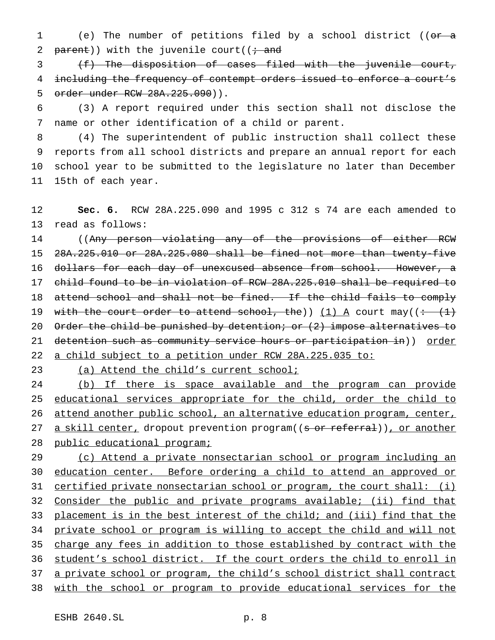(e) The number of petitions filed by a school district ((or a 2 parent)) with the juvenile court( $(i \cdot$  and

 (f) The disposition of cases filed with the juvenile court, including the frequency of contempt orders issued to enforce a court's order under RCW 28A.225.090)).

 (3) A report required under this section shall not disclose the name or other identification of a child or parent.

 (4) The superintendent of public instruction shall collect these reports from all school districts and prepare an annual report for each school year to be submitted to the legislature no later than December 15th of each year.

 **Sec. 6.** RCW 28A.225.090 and 1995 c 312 s 74 are each amended to read as follows:

14 ((Any person violating any of the provisions of either RCW 28A.225.010 or 28A.225.080 shall be fined not more than twenty-five 16 dollars for each day of unexcused absence from school. However, a child found to be in violation of RCW 28A.225.010 shall be required to 18 attend school and shall not be fined. If the child fails to comply 19 with the court order to attend school, the)) (1) A court may( $(·$   $(1)$ ) 20 Order the child be punished by detention; or (2) impose alternatives to 21 detention such as community service hours or participation in)) order a child subject to a petition under RCW 28A.225.035 to:

(a) Attend the child's current school;

 (b) If there is space available and the program can provide 25 educational services appropriate for the child, order the child to attend another public school, an alternative education program, center, 27 a skill center, dropout prevention program((s or referral)), or another 28 public educational program;

 (c) Attend a private nonsectarian school or program including an education center. Before ordering a child to attend an approved or 31 certified private nonsectarian school or program, the court shall: (i) Consider the public and private programs available; (ii) find that 33 placement is in the best interest of the child; and (iii) find that the private school or program is willing to accept the child and will not 35 charge any fees in addition to those established by contract with the student's school district. If the court orders the child to enroll in 37 a private school or program, the child's school district shall contract with the school or program to provide educational services for the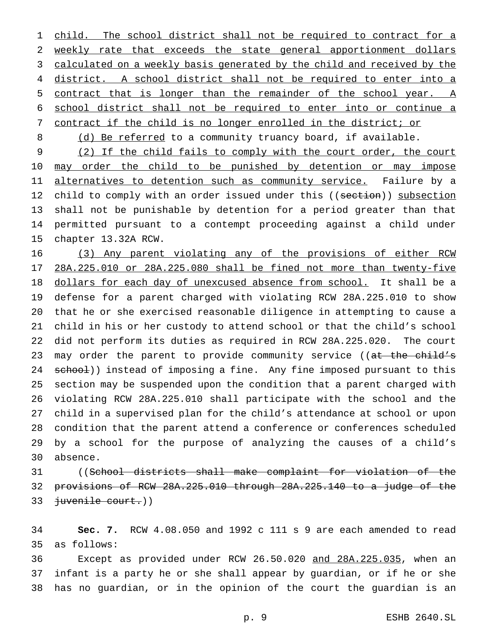1 child. The school district shall not be required to contract for a weekly rate that exceeds the state general apportionment dollars 3 calculated on a weekly basis generated by the child and received by the district. A school district shall not be required to enter into a contract that is longer than the remainder of the school year. A school district shall not be required to enter into or continue a contract if the child is no longer enrolled in the district; or

8 (d) Be referred to a community truancy board, if available.

 (2) If the child fails to comply with the court order, the court 10 may order the child to be punished by detention or may impose 11 alternatives to detention such as community service. Failure by a 12 child to comply with an order issued under this ((section)) subsection shall not be punishable by detention for a period greater than that permitted pursuant to a contempt proceeding against a child under chapter 13.32A RCW.

 (3) Any parent violating any of the provisions of either RCW 28A.225.010 or 28A.225.080 shall be fined not more than twenty-five 18 dollars for each day of unexcused absence from school. It shall be a defense for a parent charged with violating RCW 28A.225.010 to show that he or she exercised reasonable diligence in attempting to cause a child in his or her custody to attend school or that the child's school did not perform its duties as required in RCW 28A.225.020. The court 23 may order the parent to provide community service ((at the child's 24 school)) instead of imposing a fine. Any fine imposed pursuant to this section may be suspended upon the condition that a parent charged with violating RCW 28A.225.010 shall participate with the school and the child in a supervised plan for the child's attendance at school or upon condition that the parent attend a conference or conferences scheduled by a school for the purpose of analyzing the causes of a child's absence.

 ((School districts shall make complaint for violation of the provisions of RCW 28A.225.010 through 28A.225.140 to a judge of the juvenile court.))

 **Sec. 7.** RCW 4.08.050 and 1992 c 111 s 9 are each amended to read as follows:

 Except as provided under RCW 26.50.020 and 28A.225.035, when an infant is a party he or she shall appear by guardian, or if he or she has no guardian, or in the opinion of the court the guardian is an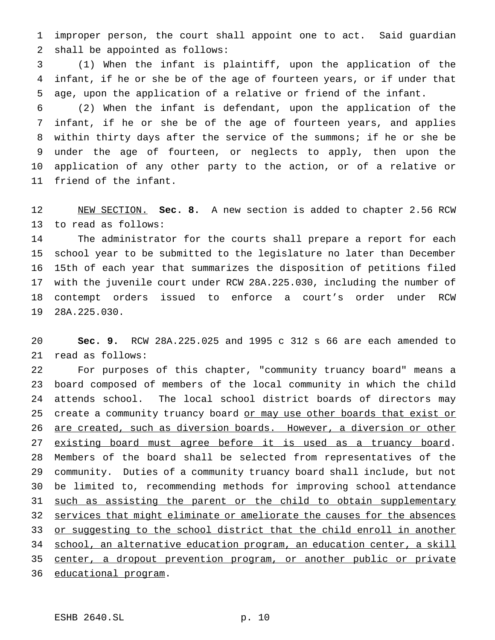improper person, the court shall appoint one to act. Said guardian shall be appointed as follows:

 (1) When the infant is plaintiff, upon the application of the infant, if he or she be of the age of fourteen years, or if under that age, upon the application of a relative or friend of the infant.

 (2) When the infant is defendant, upon the application of the infant, if he or she be of the age of fourteen years, and applies within thirty days after the service of the summons; if he or she be under the age of fourteen, or neglects to apply, then upon the application of any other party to the action, or of a relative or friend of the infant.

 NEW SECTION. **Sec. 8.** A new section is added to chapter 2.56 RCW to read as follows:

 The administrator for the courts shall prepare a report for each school year to be submitted to the legislature no later than December 15th of each year that summarizes the disposition of petitions filed with the juvenile court under RCW 28A.225.030, including the number of contempt orders issued to enforce a court's order under RCW 28A.225.030.

 **Sec. 9.** RCW 28A.225.025 and 1995 c 312 s 66 are each amended to read as follows:

 For purposes of this chapter, "community truancy board" means a board composed of members of the local community in which the child attends school. The local school district boards of directors may 25 create a community truancy board or may use other boards that exist or are created, such as diversion boards. However, a diversion or other 27 existing board must agree before it is used as a truancy board. Members of the board shall be selected from representatives of the community. Duties of a community truancy board shall include, but not be limited to, recommending methods for improving school attendance 31 such as assisting the parent or the child to obtain supplementary 32 services that might eliminate or ameliorate the causes for the absences 33 or suggesting to the school district that the child enroll in another school, an alternative education program, an education center, a skill 35 center, a dropout prevention program, or another public or private educational program.